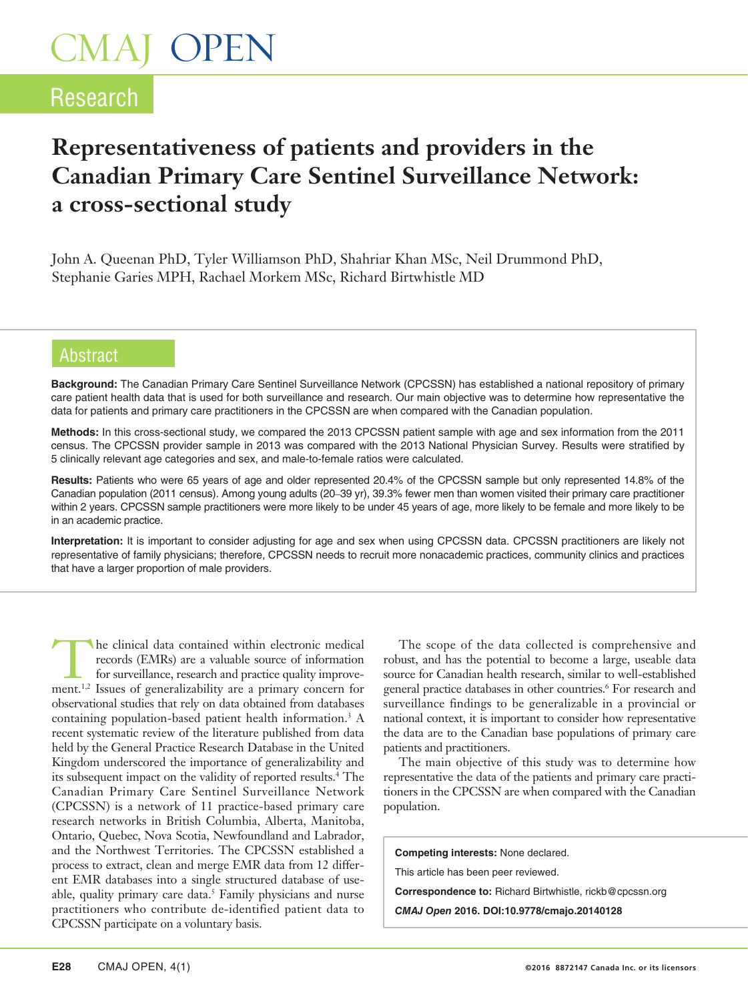# CMAJ OPEN

# **Research**

# **Representativeness of patients and providers in the Canadian Primary Care Sentinel Surveillance Network: a cross-sectional study**

John A. Queenan PhD, Tyler Williamson PhD, Shahriar Khan MSc, Neil Drummond PhD, Stephanie Garies MPH, Rachael Morkem MSc, Richard Birtwhistle MD

### Abstract

**Background:** The Canadian Primary Care Sentinel Surveillance Network (CPCSSN) has established a national repository of primary care patient health data that is used for both surveillance and research. Our main objective was to determine how representative the data for patients and primary care practitioners in the CPCSSN are when compared with the Canadian population.

**Methods:** In this cross-sectional study, we compared the 2013 CPCSSN patient sample with age and sex information from the 2011 census. The CPCSSN provider sample in 2013 was compared with the 2013 National Physician Survey. Results were stratified by 5 clinically relevant age categories and sex, and male-to-female ratios were calculated.

**Results:** Patients who were 65 years of age and older represented 20.4% of the CPCSSN sample but only represented 14.8% of the Canadian population (2011 census). Among young adults (20–39 yr), 39.3% fewer men than women visited their primary care practitioner within 2 years. CPCSSN sample practitioners were more likely to be under 45 years of age, more likely to be female and more likely to be in an academic practice.

**Interpretation:** It is important to consider adjusting for age and sex when using CPCSSN data. CPCSSN practitioners are likely not representative of family physicians; therefore, CPCSSN needs to recruit more nonacademic practices, community clinics and practices that have a larger proportion of male providers.

The clinical data contained within electronic medical<br>
for surveillance, research and practice quality improve-<br>
ment <sup>1,2</sup> Issues of generalizability are a primary concern for records (EMRs) are a valuable source of information ment.1,2 Issues of generalizability are a primary concern for observational studies that rely on data obtained from databases containing population-based patient health information.<sup>3</sup> A recent systematic review of the literature published from data held by the General Practice Research Database in the United Kingdom underscored the importance of generalizability and its subsequent impact on the validity of reported results.4 The Canadian Primary Care Sentinel Surveillance Network (CPCSSN) is a network of 11 practice-based primary care research networks in British Columbia, Alberta, Manitoba, Ontario, Quebec, Nova Scotia, Newfoundland and Labrador, and the Northwest Territories. The CPCSSN established a process to extract, clean and merge EMR data from 12 different EMR databases into a single structured database of useable, quality primary care data.<sup>5</sup> Family physicians and nurse practitioners who contribute de-identified patient data to CPCSSN participate on a voluntary basis.

The scope of the data collected is comprehensive and robust, and has the potential to become a large, useable data source for Canadian health research, similar to well-established general practice databases in other countries.6 For research and surveillance findings to be generalizable in a provincial or national context, it is important to consider how representative the data are to the Canadian base populations of primary care patients and practitioners.

The main objective of this study was to determine how representative the data of the patients and primary care practitioners in the CPCSSN are when compared with the Canadian population.

**Competing interests:** None declared. This article has been peer reviewed. **Correspondence to:** Richard Birtwhistle, rickb@cpcssn.org *CMAJ Open* **2016. DOI:10.9778/cmajo.20140128**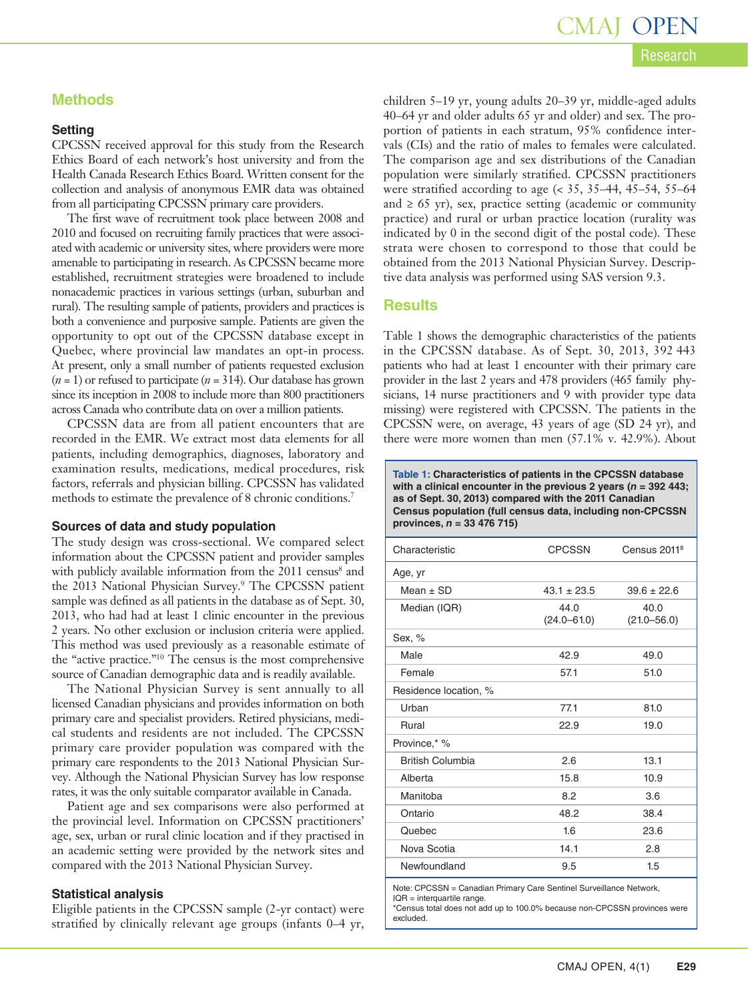### **Methods**

### **Setting**

CPCSSN received approval for this study from the Research Ethics Board of each network's host university and from the Health Canada Research Ethics Board. Written consent for the collection and analysis of anonymous EMR data was obtained from all participating CPCSSN primary care providers.

The first wave of recruitment took place between 2008 and 2010 and focused on recruiting family practices that were associated with academic or university sites, where providers were more amenable to participating in research. As CPCSSN became more established, recruitment strategies were broadened to include nonacademic practices in various settings (urban, suburban and rural). The resulting sample of patients, providers and practices is both a convenience and purposive sample. Patients are given the opportunity to opt out of the CPCSSN database except in Quebec, where provincial law mandates an opt-in process. At present, only a small number of patients requested exclusion  $(n = 1)$  or refused to participate  $(n = 314)$ . Our database has grown since its inception in 2008 to include more than 800 practitioners across Canada who contribute data on over a million patients.

CPCSSN data are from all patient encounters that are recorded in the EMR. We extract most data elements for all patients, including demographics, diagnoses, laboratory and examination results, medications, medical procedures, risk factors, referrals and physician billing. CPCSSN has validated methods to estimate the prevalence of 8 chronic conditions.<sup>7</sup>

### **Sources of data and study population**

The study design was cross-sectional. We compared select information about the CPCSSN patient and provider samples with publicly available information from the 2011 census<sup>8</sup> and the 2013 National Physician Survey.9 The CPCSSN patient sample was defined as all patients in the database as of Sept. 30, 2013, who had had at least 1 clinic encounter in the previous 2 years. No other exclusion or inclusion criteria were applied. This method was used previously as a reasonable estimate of the "active practice."10 The census is the most comprehensive source of Canadian demographic data and is readily available.

The National Physician Survey is sent annually to all licensed Canadian physicians and provides information on both primary care and specialist providers. Retired physicians, medical students and residents are not included. The CPCSSN primary care provider population was compared with the primary care respondents to the 2013 National Physician Survey. Although the National Physician Survey has low response rates, it was the only suitable comparator available in Canada.

Patient age and sex comparisons were also performed at the provincial level. Information on CPCSSN practitioners' age, sex, urban or rural clinic location and if they practised in an academic setting were provided by the network sites and compared with the 2013 National Physician Survey.

### **Statistical analysis**

Eligible patients in the CPCSSN sample (2-yr contact) were stratified by clinically relevant age groups (infants 0–4 yr,

children 5–19 yr, young adults 20–39 yr, middle-aged adults 40–64 yr and older adults 65 yr and older) and sex. The proportion of patients in each stratum, 95% confidence intervals (CIs) and the ratio of males to females were calculated. The comparison age and sex distributions of the Canadian population were similarly stratified. CPCSSN practitioners were stratified according to age (< 35, 35–44, 45–54, 55–64 and  $\geq 65$  yr), sex, practice setting (academic or community practice) and rural or urban practice location (rurality was indicated by 0 in the second digit of the postal code). These strata were chosen to correspond to those that could be obtained from the 2013 National Physician Survey. Descriptive data analysis was performed using SAS version 9.3.

### **Results**

Table 1 shows the demographic characteristics of the patients in the CPCSSN database. As of Sept. 30, 2013, 392 443 patients who had at least 1 encounter with their primary care provider in the last 2 years and 478 providers (465 family physicians, 14 nurse practitioners and 9 with provider type data missing) were registered with CPCSSN. The patients in the CPCSSN were, on average, 43 years of age (SD 24 yr), and there were more women than men (57.1% v. 42.9%). About

**Table 1: Characteristics of patients in the CPCSSN database with a clinical encounter in the previous 2 years (***n* **= 392 443; as of Sept. 30, 2013) compared with the 2011 Canadian Census population (full census data, including non-CPCSSN provinces,** *n* **= 33 476 715)**

| Characteristic          | <b>CPCSSN</b>           | Census 2011 <sup>8</sup> |
|-------------------------|-------------------------|--------------------------|
| Age, yr                 |                         |                          |
| Mean $\pm$ SD           | $43.1 \pm 23.5$         | $39.6 \pm 22.6$          |
| Median (IQR)            | 44.0<br>$(24.0 - 61.0)$ | 40.0<br>$(21.0 - 56.0)$  |
| Sex, %                  |                         |                          |
| Male                    | 42.9                    | 49.0                     |
| Female                  | 57.1                    | 51.0                     |
| Residence location, %   |                         |                          |
| Urban                   | 77.1                    | 81.0                     |
| Rural                   | 22.9                    | 19.0                     |
| Province,* %            |                         |                          |
| <b>British Columbia</b> | 2.6                     | 13.1                     |
| Alberta                 | 15.8                    | 10.9                     |
| Manitoba                | 8.2                     | 3.6                      |
| Ontario                 | 48.2                    | 38.4                     |
| Quebec                  | 1.6                     | 23.6                     |
| Nova Scotia             | 14.1                    | 2.8                      |
| Newfoundland            | 9.5                     | 1.5                      |

Note: CPCSSN = Canadian Primary Care Sentinel Surveillance Network,

IQR = interquartile range.

\*Census total does not add up to 100.0% because non-CPCSSN provinces were excluded.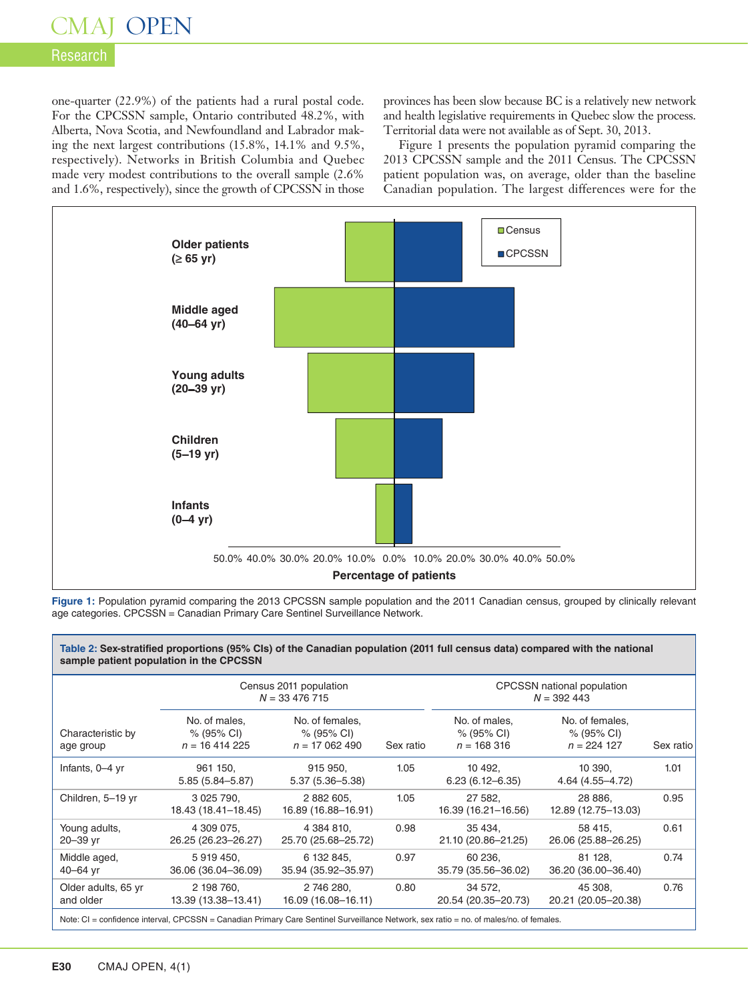## CMAJ OPEN

### Research

one-quarter (22.9%) of the patients had a rural postal code. For the CPCSSN sample, Ontario contributed 48.2%, with Alberta, Nova Scotia, and Newfoundland and Labrador making the next largest contributions (15.8%, 14.1% and 9.5%, respectively). Networks in British Columbia and Quebec made very modest contributions to the overall sample (2.6% and 1.6%, respectively), since the growth of CPCSSN in those provinces has been slow because BC is a relatively new network and health legislative requirements in Quebec slow the process. Territorial data were not available as of Sept. 30, 2013.

Figure 1 presents the population pyramid comparing the 2013 CPCSSN sample and the 2011 Census. The CPCSSN patient population was, on average, older than the baseline Canadian population. The largest differences were for the



**Figure 1:** Population pyramid comparing the 2013 CPCSSN sample population and the 2011 Canadian census, grouped by clinically relevant age categories. CPCSSN = Canadian Primary Care Sentinel Surveillance Network.

|                                  | Census 2011 population<br>$N = 33476715$                 |                                                            |           | CPCSSN national population<br>$N = 392443$  |                                                           |           |
|----------------------------------|----------------------------------------------------------|------------------------------------------------------------|-----------|---------------------------------------------|-----------------------------------------------------------|-----------|
| Characteristic by<br>age group   | No. of males,<br>$% (95\% \text{ Cl})$<br>$n = 16414225$ | No. of females,<br>$% (95\% \text{ Cl})$<br>$n = 17062490$ | Sex ratio | No. of males.<br>% (95% CI)<br>$n = 168316$ | No. of females,<br>$% (95\% \text{ Cl})$<br>$n = 224$ 127 | Sex ratio |
| Infants, 0-4 yr                  | 961 150,<br>$5.85(5.84 - 5.87)$                          | 915 950,<br>$5.37(5.36 - 5.38)$                            | 1.05      | 10 492,<br>$6.23(6.12 - 6.35)$              | 10 390,<br>4.64 (4.55–4.72)                               | 1.01      |
| Children, 5-19 yr                | 3 0 25 7 90.<br>18.43 (18.41-18.45)                      | 2 882 605,<br>16.89 (16.88-16.91)                          | 1.05      | 27 582.<br>16.39 (16.21-16.56)              | 28 886.<br>12.89 (12.75-13.03)                            | 0.95      |
| Young adults,<br>20-39 yr        | 4 309 075.<br>26.25 (26.23-26.27)                        | 4 384 810.<br>25.70 (25.68-25.72)                          | 0.98      | 35 4 34.<br>21.10 (20.86-21.25)             | 58 415.<br>26.06 (25.88-26.25)                            | 0.61      |
| Middle aged,<br>$40 - 64$ yr     | 5919450,<br>36.06 (36.04-36.09)                          | 6 132 845,<br>35.94 (35.92-35.97)                          | 0.97      | 60 236,<br>35.79 (35.56-36.02)              | 81 128,<br>36.20 (36.00-36.40)                            | 0.74      |
| Older adults, 65 yr<br>and older | 2 198 760,<br>13.39 (13.38-13.41)                        | 2 746 280,<br>16.09 (16.08-16.11)                          | 0.80      | 34 572,<br>20.54 (20.35-20.73)              | 45 308,<br>20.21 (20.05-20.38)                            | 0.76      |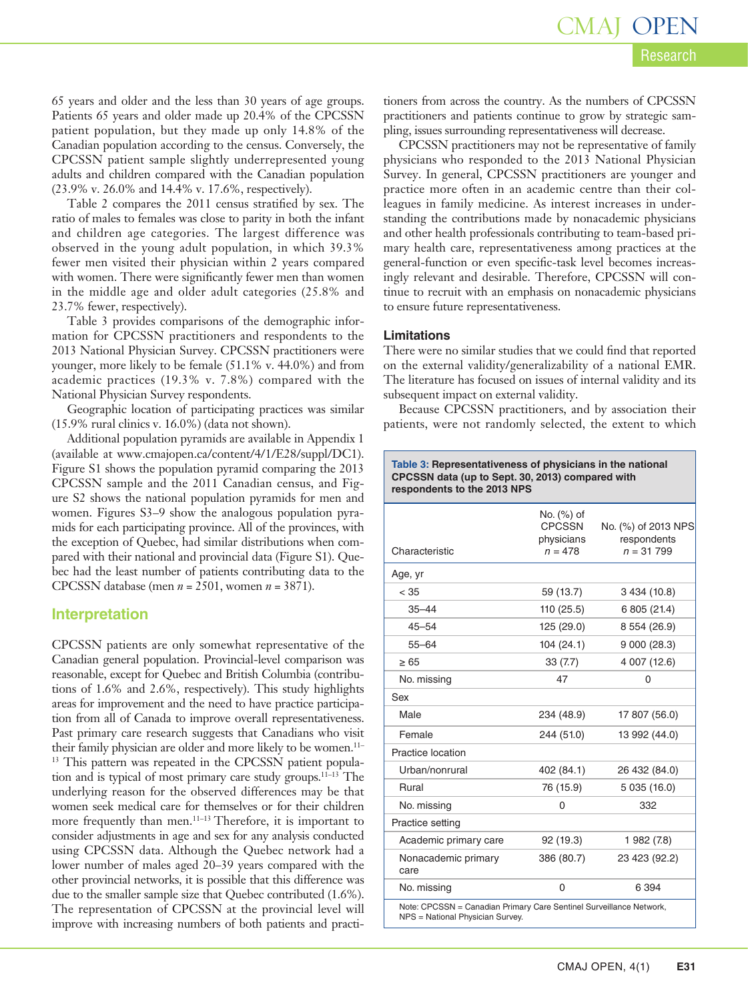Research CMAJ OPEN

65 years and older and the less than 30 years of age groups. Patients 65 years and older made up 20.4% of the CPCSSN patient population, but they made up only 14.8% of the Canadian population according to the census. Conversely, the CPCSSN patient sample slightly underrepresented young adults and children compared with the Canadian population (23.9% v. 26.0% and 14.4% v. 17.6%, respectively).

Table 2 compares the 2011 census stratified by sex. The ratio of males to females was close to parity in both the infant and children age categories. The largest difference was observed in the young adult population, in which 39.3% fewer men visited their physician within 2 years compared with women. There were significantly fewer men than women in the middle age and older adult categories (25.8% and 23.7% fewer, respectively).

Table 3 provides comparisons of the demographic information for CPCSSN practitioners and respondents to the 2013 National Physician Survey. CPCSSN practitioners were younger, more likely to be female (51.1% v. 44.0%) and from academic practices (19.3% v. 7.8%) compared with the National Physician Survey respondents.

Geographic location of participating practices was similar (15.9% rural clinics v. 16.0%) (data not shown).

Additional population pyramids are available in Appendix 1 (available at www.cmajopen.ca/content/4/1/E28/suppl/DC1). Figure S1 shows the population pyramid comparing the 2013 CPCSSN sample and the 2011 Canadian census, and Figure S2 shows the national population pyramids for men and women. Figures S3–9 show the analogous population pyramids for each participating province. All of the provinces, with the exception of Quebec, had similar distributions when compared with their national and provincial data (Figure S1). Quebec had the least number of patients contributing data to the CPCSSN database (men *n* = 2501, women *n* = 3871).

### **Interpretation**

CPCSSN patients are only somewhat representative of the Canadian general population. Provincial-level comparison was reasonable, except for Quebec and British Columbia (contributions of 1.6% and 2.6%, respectively). This study highlights areas for improvement and the need to have practice participation from all of Canada to improve overall representativeness. Past primary care research suggests that Canadians who visit their family physician are older and more likely to be women.11– <sup>13</sup> This pattern was repeated in the CPCSSN patient population and is typical of most primary care study groups.<sup>11-13</sup> The underlying reason for the observed differences may be that women seek medical care for themselves or for their children more frequently than men.<sup>11-13</sup> Therefore, it is important to consider adjustments in age and sex for any analysis conducted using CPCSSN data. Although the Quebec network had a lower number of males aged 20–39 years compared with the other provincial networks, it is possible that this difference was due to the smaller sample size that Quebec contributed (1.6%). The representation of CPCSSN at the provincial level will improve with increasing numbers of both patients and practitioners from across the country. As the numbers of CPCSSN practitioners and patients continue to grow by strategic sampling, issues surrounding representativeness will decrease.

CPCSSN practitioners may not be representative of family physicians who responded to the 2013 National Physician Survey. In general, CPCSSN practitioners are younger and practice more often in an academic centre than their colleagues in family medicine. As interest increases in understanding the contributions made by nonacademic physicians and other health professionals contributing to team-based primary health care, representativeness among practices at the general-function or even specific-task level becomes increasingly relevant and desirable. Therefore, CPCSSN will continue to recruit with an emphasis on nonacademic physicians to ensure future representativeness.

#### **Limitations**

There were no similar studies that we could find that reported on the external validity/generalizability of a national EMR. The literature has focused on issues of internal validity and its subsequent impact on external validity.

Because CPCSSN practitioners, and by association their patients, were not randomly selected, the extent to which

| Table 3: Representativeness of physicians in the national |
|-----------------------------------------------------------|
| CPCSSN data (up to Sept. 30, 2013) compared with          |
| respondents to the 2013 NPS                               |

| Characteristic                                                                                          | No. (%) of<br><b>CPCSSN</b><br>physicians<br>$n = 478$ | No. (%) of 2013 NPS<br>respondents<br>$n = 31,799$ |  |  |
|---------------------------------------------------------------------------------------------------------|--------------------------------------------------------|----------------------------------------------------|--|--|
| Age, yr                                                                                                 |                                                        |                                                    |  |  |
| < 35                                                                                                    | 59 (13.7)                                              | 3 434 (10.8)                                       |  |  |
| $35 - 44$                                                                                               | 110 (25.5)                                             | 6 805 (21.4)                                       |  |  |
| $45 - 54$                                                                                               | 125 (29.0)                                             | 8 554 (26.9)                                       |  |  |
| $55 - 64$                                                                                               | 104 (24.1)                                             | 9000(28.3)                                         |  |  |
| $\geq 65$                                                                                               | 33 (7.7)                                               | 4 007 (12.6)                                       |  |  |
| No. missing                                                                                             | 47                                                     | 0                                                  |  |  |
| Sex                                                                                                     |                                                        |                                                    |  |  |
| Male                                                                                                    | 234 (48.9)                                             | 17 807 (56.0)                                      |  |  |
| Female                                                                                                  | 244 (51.0)                                             | 13 992 (44.0)                                      |  |  |
| Practice location                                                                                       |                                                        |                                                    |  |  |
| Urban/nonrural                                                                                          | 402 (84.1)                                             | 26 432 (84.0)                                      |  |  |
| Rural                                                                                                   | 76 (15.9)                                              | 5 035 (16.0)                                       |  |  |
| No. missing                                                                                             | 0                                                      | 332                                                |  |  |
| Practice setting                                                                                        |                                                        |                                                    |  |  |
| Academic primary care                                                                                   | 92 (19.3)                                              | 1 982 (7.8)                                        |  |  |
| Nonacademic primary<br>care                                                                             | 386 (80.7)                                             | 23 423 (92.2)                                      |  |  |
| No. missing                                                                                             | 0                                                      | 6 3 9 4                                            |  |  |
| Note: CPCSSN = Canadian Primary Care Sentinel Surveillance Network,<br>NPS = National Physician Survey. |                                                        |                                                    |  |  |